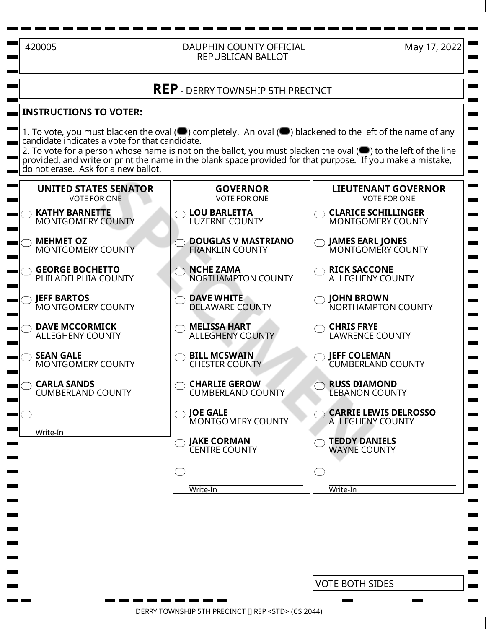## 420005 DAUPHIN COUNTY OFFICIAL REPUBLICAN BALLOT

May 17, 2022

## **REP** - DERRY TOWNSHIP 5TH PRECINCT

## **INSTRUCTIONS TO VOTER:**

1. To vote, you must blacken the oval ( $\blacksquare$ ) completely. An oval ( $\blacksquare$ ) blackened to the left of the name of any candidate indicates a vote for that candidate.

2. To vote for a person whose name is not on the ballot, you must blacken the oval  $($ **)** to the left of the line provided, and write or print the name in the blank space provided for that purpose. If you make a mistake, do not erase. Ask for a new ballot.



VOTE BOTH SIDES